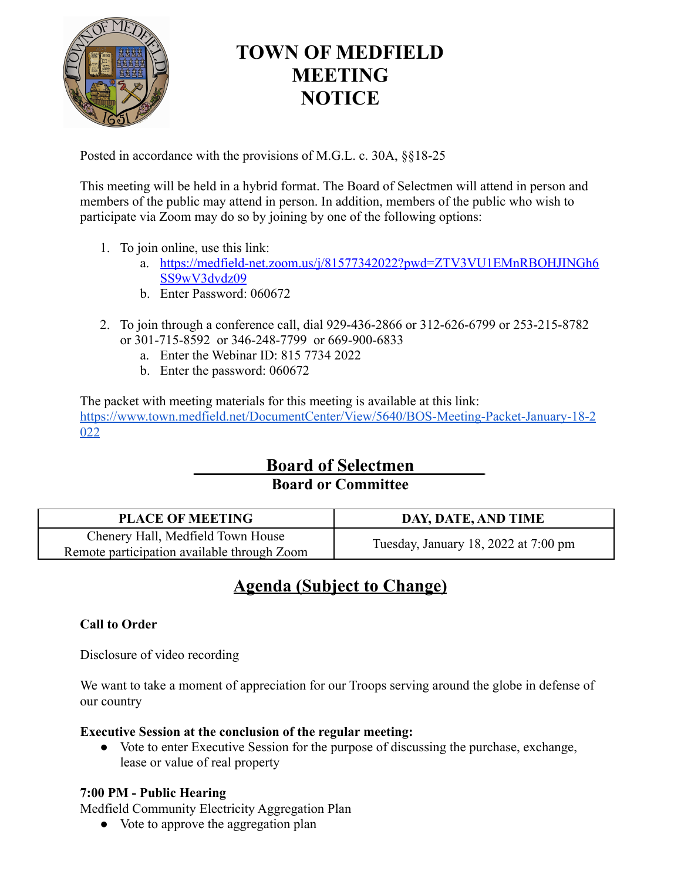

# **TOWN OF MEDFIELD MEETING NOTICE**

Posted in accordance with the provisions of M.G.L. c. 30A, §§18-25

This meeting will be held in a hybrid format. The Board of Selectmen will attend in person and members of the public may attend in person. In addition, members of the public who wish to participate via Zoom may do so by joining by one of the following options:

- 1. To join online, use this link:
	- a. [https://medfield-net.zoom.us/j/81577342022?pwd=ZTV3VU1EMnRBOHJINGh6](https://medfield-net.zoom.us/j/81577342022?pwd=ZTV3VU1EMnRBOHJINGh6SS9wV3dvdz09) [SS9wV3dvdz09](https://medfield-net.zoom.us/j/81577342022?pwd=ZTV3VU1EMnRBOHJINGh6SS9wV3dvdz09)
	- b. Enter Password: 060672
- 2. To join through a conference call, dial 929-436-2866 or 312-626-6799 or 253-215-8782 or 301-715-8592 or 346-248-7799 or 669-900-6833
	- a. Enter the Webinar ID: 815 7734 2022
	- b. Enter the password: 060672

The packet with meeting materials for this meeting is available at this link: [https://www.town.medfield.net/DocumentCenter/View/5640/BOS-Meeting-Packet-January-18-2](https://www.town.medfield.net/DocumentCenter/View/5640/BOS-Meeting-Packet-January-18-2022) [022](https://www.town.medfield.net/DocumentCenter/View/5640/BOS-Meeting-Packet-January-18-2022)

## **Board of Selectmen Board or Committee**

| <b>PLACE OF MEETING</b>                                                          | DAY, DATE, AND TIME                            |
|----------------------------------------------------------------------------------|------------------------------------------------|
| Chenery Hall, Medfield Town House<br>Remote participation available through Zoom | Tuesday, January 18, 2022 at $7:00 \text{ pm}$ |

## **Agenda (Subject to Change)**

### **Call to Order**

Disclosure of video recording

We want to take a moment of appreciation for our Troops serving around the globe in defense of our country

#### **Executive Session at the conclusion of the regular meeting:**

● Vote to enter Executive Session for the purpose of discussing the purchase, exchange, lease or value of real property

#### **7:00 PM - Public Hearing**

Medfield Community Electricity Aggregation Plan

● Vote to approve the aggregation plan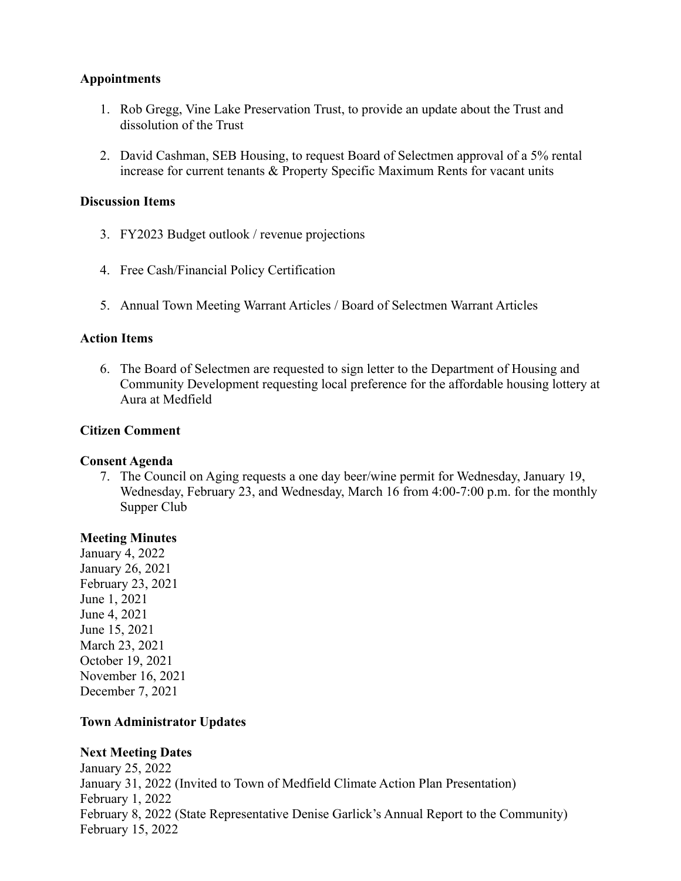#### **Appointments**

- 1. Rob Gregg, Vine Lake Preservation Trust, to provide an update about the Trust and dissolution of the Trust
- 2. David Cashman, SEB Housing, to request Board of Selectmen approval of a 5% rental increase for current tenants & Property Specific Maximum Rents for vacant units

#### **Discussion Items**

- 3. FY2023 Budget outlook / revenue projections
- 4. Free Cash/Financial Policy Certification
- 5. Annual Town Meeting Warrant Articles / Board of Selectmen Warrant Articles

#### **Action Items**

6. The Board of Selectmen are requested to sign letter to the Department of Housing and Community Development requesting local preference for the affordable housing lottery at Aura at Medfield

#### **Citizen Comment**

#### **Consent Agenda**

7. The Council on Aging requests a one day beer/wine permit for Wednesday, January 19, Wednesday, February 23, and Wednesday, March 16 from 4:00-7:00 p.m. for the monthly Supper Club

#### **Meeting Minutes**

January 4, 2022 January 26, 2021 February 23, 2021 June 1, 2021 June 4, 2021 June 15, 2021 March 23, 2021 October 19, 2021 November 16, 2021 December 7, 2021

#### **Town Administrator Updates**

#### **Next Meeting Dates**

January 25, 2022 January 31, 2022 (Invited to Town of Medfield Climate Action Plan Presentation) February 1, 2022 February 8, 2022 (State Representative Denise Garlick's Annual Report to the Community) February 15, 2022